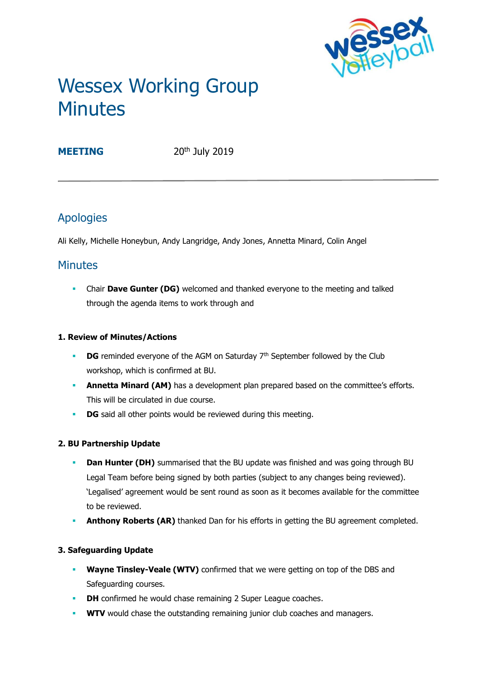

# Wessex Working Group **Minutes**

**MEETING** 20<sup>th</sup> July 2019

# Apologies

Ali Kelly, Michelle Honeybun, Andy Langridge, Andy Jones, Annetta Minard, Colin Angel

# **Minutes**

**• Chair Dave Gunter (DG)** welcomed and thanked everyone to the meeting and talked through the agenda items to work through and

### **1. Review of Minutes/Actions**

- **DG** reminded everyone of the AGM on Saturday 7<sup>th</sup> September followed by the Club workshop, which is confirmed at BU.
- **Annetta Minard (AM)** has a development plan prepared based on the committee's efforts. This will be circulated in due course.
- **DG** said all other points would be reviewed during this meeting.

# **2. BU Partnership Update**

- **Dan Hunter (DH)** summarised that the BU update was finished and was going through BU Legal Team before being signed by both parties (subject to any changes being reviewed). 'Legalised' agreement would be sent round as soon as it becomes available for the committee to be reviewed.
- Anthony Roberts (AR) thanked Dan for his efforts in getting the BU agreement completed.

# **3. Safeguarding Update**

- **Wayne Tinsley-Veale (WTV)** confirmed that we were getting on top of the DBS and Safeguarding courses.
- **DH** confirmed he would chase remaining 2 Super League coaches.
- **WTV** would chase the outstanding remaining junior club coaches and managers.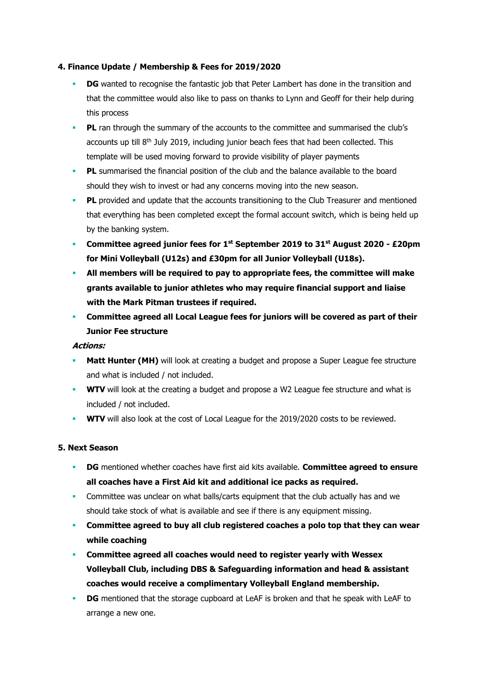#### **4. Finance Update / Membership & Fees for 2019/2020**

- **DG** wanted to recognise the fantastic job that Peter Lambert has done in the transition and that the committee would also like to pass on thanks to Lynn and Geoff for their help during this process
- **PL** ran through the summary of the accounts to the committee and summarised the club's accounts up till  $8<sup>th</sup>$  July 2019, including junior beach fees that had been collected. This template will be used moving forward to provide visibility of player payments
- **PL** summarised the financial position of the club and the balance available to the board should they wish to invest or had any concerns moving into the new season.
- **PL** provided and update that the accounts transitioning to the Club Treasurer and mentioned that everything has been completed except the formal account switch, which is being held up by the banking system.
- **Committee agreed junior fees for 1st September 2019 to 31st August 2020 - £20pm for Mini Volleyball (U12s) and £30pm for all Junior Volleyball (U18s).**
- **All members will be required to pay to appropriate fees, the committee will make grants available to junior athletes who may require financial support and liaise with the Mark Pitman trustees if required.**
- **Committee agreed all Local League fees for juniors will be covered as part of their Junior Fee structure**

#### **Actions:**

- **Matt Hunter (MH)** will look at creating a budget and propose a Super League fee structure and what is included / not included.
- **WTV** will look at the creating a budget and propose a W2 League fee structure and what is included / not included.
- **WTV** will also look at the cost of Local League for the 2019/2020 costs to be reviewed.

#### **5. Next Season**

- **DG** mentioned whether coaches have first aid kits available. **Committee agreed to ensure all coaches have a First Aid kit and additional ice packs as required.**
- **Committee was unclear on what balls/carts equipment that the club actually has and we** should take stock of what is available and see if there is any equipment missing.
- **EXED** Committee agreed to buy all club registered coaches a polo top that they can wear **while coaching**
- **Committee agreed all coaches would need to register yearly with Wessex Volleyball Club, including DBS & Safeguarding information and head & assistant coaches would receive a complimentary Volleyball England membership.**
- **DG** mentioned that the storage cupboard at LeAF is broken and that he speak with LeAF to arrange a new one.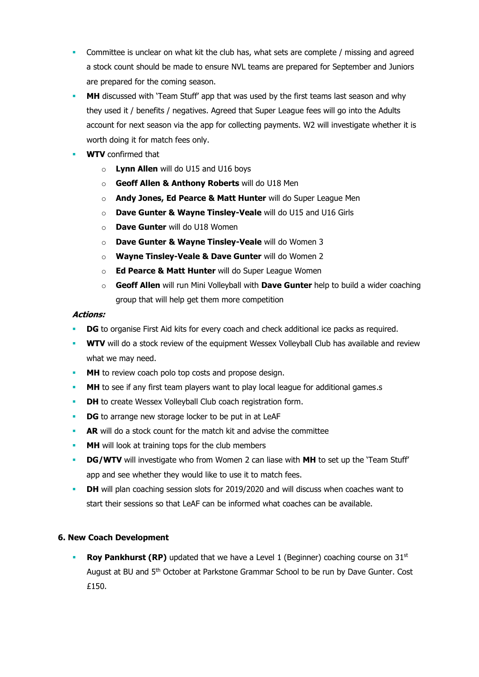- Committee is unclear on what kit the club has, what sets are complete / missing and agreed a stock count should be made to ensure NVL teams are prepared for September and Juniors are prepared for the coming season.
- **MH** discussed with 'Team Stuff' app that was used by the first teams last season and why they used it / benefits / negatives. Agreed that Super League fees will go into the Adults account for next season via the app for collecting payments. W2 will investigate whether it is worth doing it for match fees only.
- **WTV** confirmed that
	- o **Lynn Allen** will do U15 and U16 boys
	- o **Geoff Allen & Anthony Roberts** will do U18 Men
	- o **Andy Jones, Ed Pearce & Matt Hunter** will do Super League Men
	- o **Dave Gunter & Wayne Tinsley-Veale** will do U15 and U16 Girls
	- o **Dave Gunter** will do U18 Women
	- o **Dave Gunter & Wayne Tinsley-Veale** will do Women 3
	- o **Wayne Tinsley-Veale & Dave Gunter** will do Women 2
	- o **Ed Pearce & Matt Hunter** will do Super League Women
	- o **Geoff Allen** will run Mini Volleyball with **Dave Gunter** help to build a wider coaching group that will help get them more competition

#### **Actions:**

- **DG** to organise First Aid kits for every coach and check additional ice packs as required.
- **WTV** will do a stock review of the equipment Wessex Volleyball Club has available and review what we may need.
- **MH** to review coach polo top costs and propose design.
- **MH** to see if any first team players want to play local league for additional games.s
- **DH** to create Wessex Volleyball Club coach registration form.
- **DG** to arrange new storage locker to be put in at LeAF
- **AR** will do a stock count for the match kit and advise the committee
- **MH** will look at training tops for the club members
- **DG/WTV** will investigate who from Women 2 can liase with MH to set up the 'Team Stuff' app and see whether they would like to use it to match fees.
- **DH** will plan coaching session slots for 2019/2020 and will discuss when coaches want to start their sessions so that LeAF can be informed what coaches can be available.

#### **6. New Coach Development**

**Roy Pankhurst (RP)** updated that we have a Level 1 (Beginner) coaching course on 31<sup>st</sup> August at BU and 5<sup>th</sup> October at Parkstone Grammar School to be run by Dave Gunter. Cost £150.